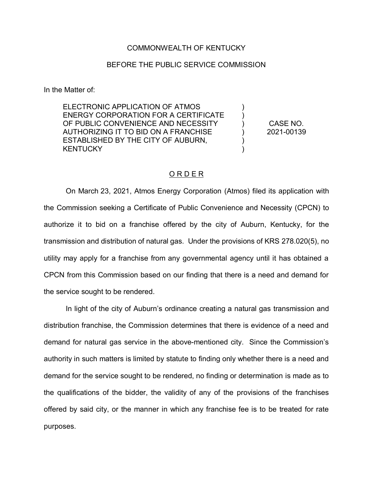## COMMONWEALTH OF KENTUCKY

## BEFORE THE PUBLIC SERVICE COMMISSION

In the Matter of:

ELECTRONIC APPLICATION OF ATMOS ENERGY CORPORATION FOR A CERTIFICATE OF PUBLIC CONVENIENCE AND NECESSITY AUTHORIZING IT TO BID ON A FRANCHISE ESTABLISHED BY THE CITY OF AUBURN, **KENTUCKY** 

CASE NO. 2021-00139

) ) ) ) ) )

## O R D E R

On March 23, 2021, Atmos Energy Corporation (Atmos) filed its application with the Commission seeking a Certificate of Public Convenience and Necessity (CPCN) to authorize it to bid on a franchise offered by the city of Auburn, Kentucky, for the transmission and distribution of natural gas. Under the provisions of KRS 278.020(5), no utility may apply for a franchise from any governmental agency until it has obtained a CPCN from this Commission based on our finding that there is a need and demand for the service sought to be rendered.

In light of the city of Auburn's ordinance creating a natural gas transmission and distribution franchise, the Commission determines that there is evidence of a need and demand for natural gas service in the above-mentioned city. Since the Commission's authority in such matters is limited by statute to finding only whether there is a need and demand for the service sought to be rendered, no finding or determination is made as to the qualifications of the bidder, the validity of any of the provisions of the franchises offered by said city, or the manner in which any franchise fee is to be treated for rate purposes.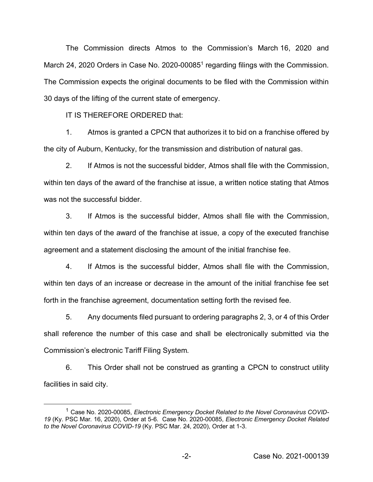The Commission directs Atmos to the Commission's March 16, 2020 and March 24, 2020 Orders in Case No. 2020-00085<sup>1</sup> regarding filings with the Commission. The Commission expects the original documents to be filed with the Commission within 30 days of the lifting of the current state of emergency.

IT IS THEREFORE ORDERED that:

1. Atmos is granted a CPCN that authorizes it to bid on a franchise offered by the city of Auburn, Kentucky, for the transmission and distribution of natural gas.

2. If Atmos is not the successful bidder, Atmos shall file with the Commission, within ten days of the award of the franchise at issue, a written notice stating that Atmos was not the successful bidder

3. If Atmos is the successful bidder, Atmos shall file with the Commission, within ten days of the award of the franchise at issue, a copy of the executed franchise agreement and a statement disclosing the amount of the initial franchise fee.

4. If Atmos is the successful bidder, Atmos shall file with the Commission, within ten days of an increase or decrease in the amount of the initial franchise fee set forth in the franchise agreement, documentation setting forth the revised fee.

5. Any documents filed pursuant to ordering paragraphs 2, 3, or 4 of this Order shall reference the number of this case and shall be electronically submitted via the Commission's electronic Tariff Filing System.

6. This Order shall not be construed as granting a CPCN to construct utility facilities in said city.

<sup>&</sup>lt;sup>1</sup> Case No. 2020-00085, Electronic Emergency Docket Related to the Novel Coronavirus COVID-*19* (Ky. PSC Mar. 16, 2020), Order at 5-6. Case No. 2020-00085, *Electronic Emergency Docket Related to the Novel Coronavirus COVID-19* (Ky. PSC Mar. 24, 2020), Order at 1-3.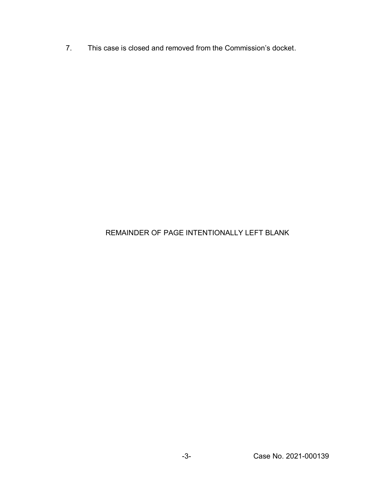7. This case is closed and removed from the Commission's docket.

## REMAINDER OF PAGE INTENTIONALLY LEFT BLANK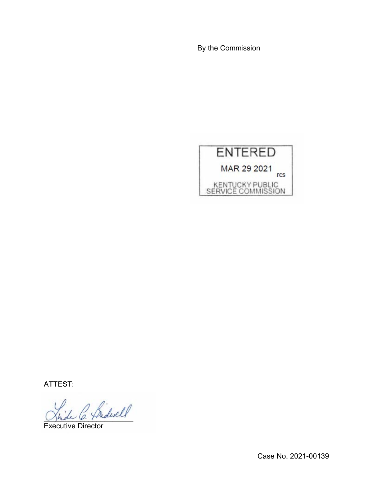By the Commission



ATTEST:

 $^2$  Sidwell

Executive Director

Case No. 2021-00139